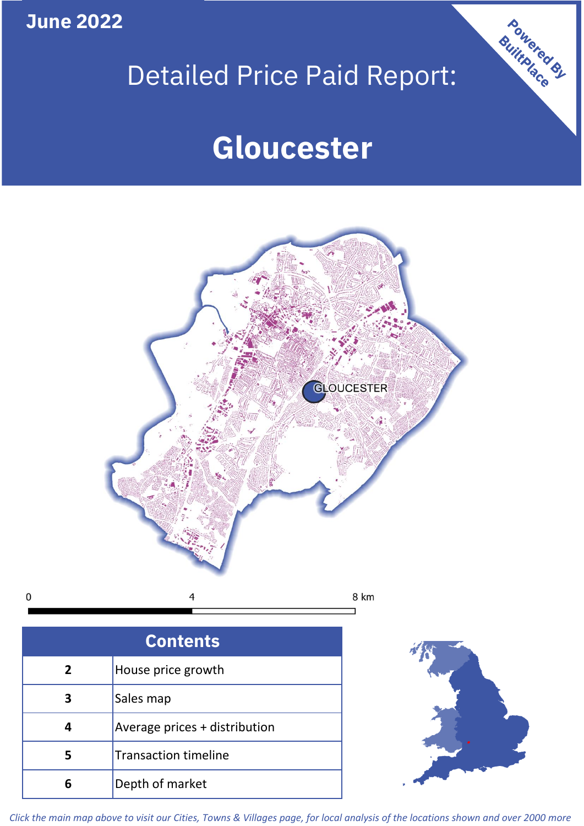**June 2022**

 $\mathbf 0$ 

# Detailed Price Paid Report:

# **Gloucester**



| <b>Contents</b> |                               |  |  |
|-----------------|-------------------------------|--|--|
| 2               | House price growth            |  |  |
|                 | Sales map                     |  |  |
|                 | Average prices + distribution |  |  |
| 5               | <b>Transaction timeline</b>   |  |  |
| Բ               | Depth of market               |  |  |



Powered By

*Click the main map above to visit our Cities, Towns & Villages page, for local analysis of the locations shown and over 2000 more*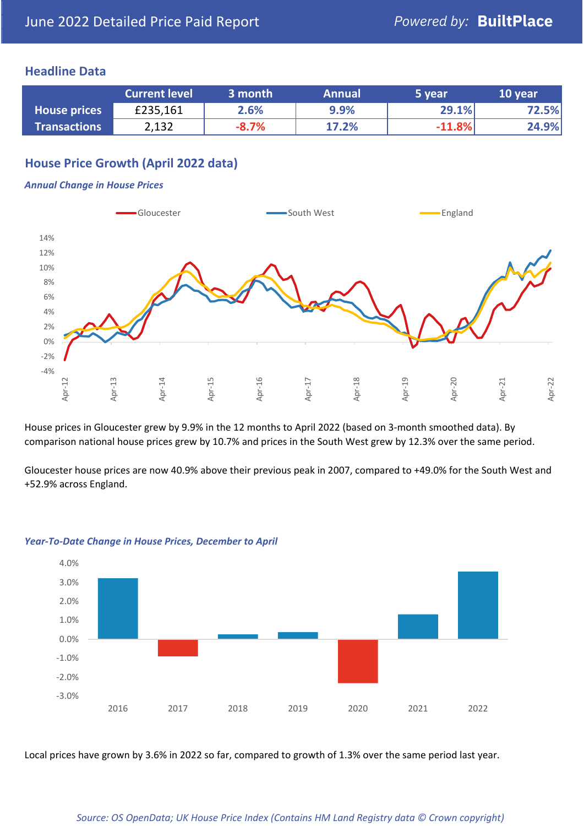## **Headline Data**

|                     | <b>Current level</b> | 3 month | <b>Annual</b> | 5 year   | 10 year |
|---------------------|----------------------|---------|---------------|----------|---------|
| <b>House prices</b> | £235,161             | 2.6%    | 9.9%          | 29.1%    | 72.5%   |
| <b>Transactions</b> | 2,132                | $-8.7%$ | 17.2%         | $-11.8%$ | 24.9%   |

## **House Price Growth (April 2022 data)**

### *Annual Change in House Prices*



House prices in Gloucester grew by 9.9% in the 12 months to April 2022 (based on 3-month smoothed data). By comparison national house prices grew by 10.7% and prices in the South West grew by 12.3% over the same period.

Gloucester house prices are now 40.9% above their previous peak in 2007, compared to +49.0% for the South West and +52.9% across England.



### *Year-To-Date Change in House Prices, December to April*

Local prices have grown by 3.6% in 2022 so far, compared to growth of 1.3% over the same period last year.

### *Source: OS OpenData; UK House Price Index (Contains HM Land Registry data © Crown copyright)*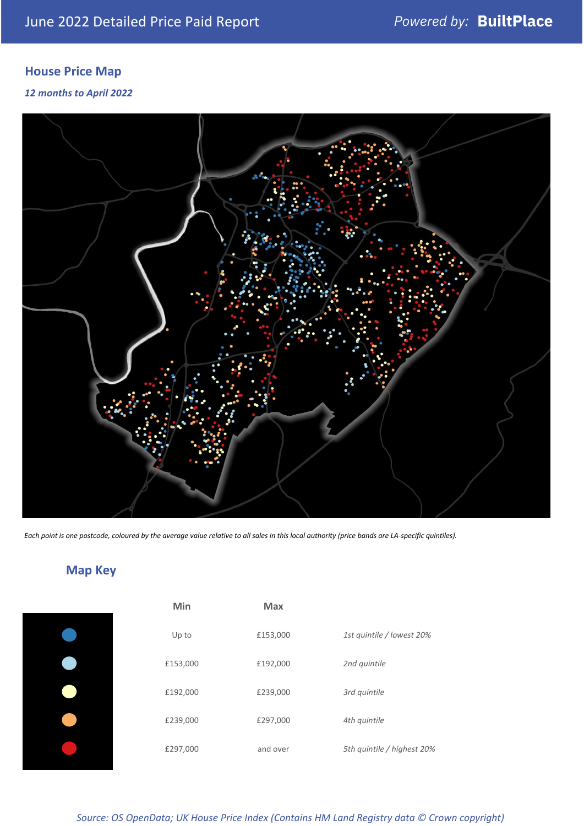# **House Price Map**

## *12 months to April 2022*



*Each point is one postcode, coloured by the average value relative to all sales in this local authority (price bands are LA-specific quintiles).*

# **Map Key**

| Min      | <b>Max</b> |                            |
|----------|------------|----------------------------|
| Up to    | £153,000   | 1st quintile / lowest 20%  |
| £153,000 | £192,000   | 2nd quintile               |
| £192,000 | £239,000   | 3rd quintile               |
| £239,000 | £297,000   | 4th quintile               |
| £297,000 | and over   | 5th quintile / highest 20% |
|          |            |                            |

## *Source: OS OpenData; UK House Price Index (Contains HM Land Registry data © Crown copyright)*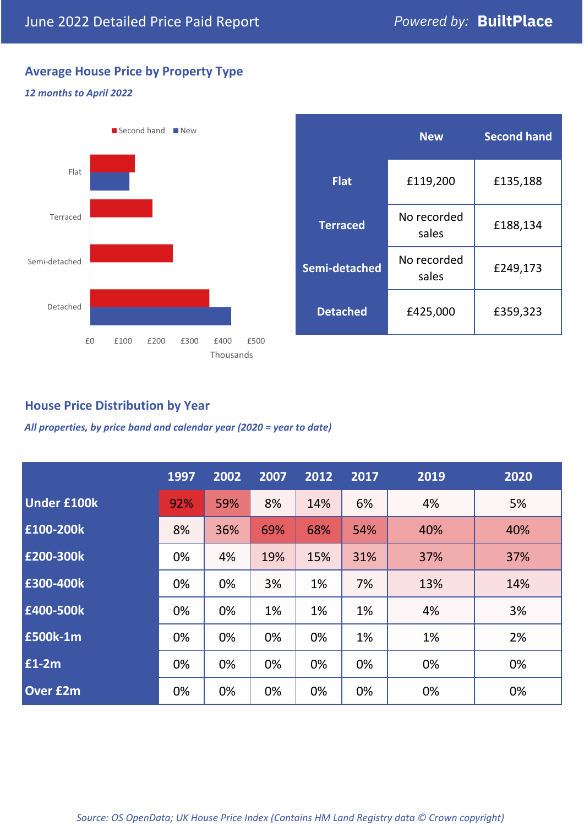## **Average House Price by Property Type**

## *12 months to April 2022*



|                 | <b>New</b>           | <b>Second hand</b> |  |
|-----------------|----------------------|--------------------|--|
| <b>Flat</b>     | £119,200             | £135,188           |  |
| <b>Terraced</b> | No recorded<br>sales | £188,134           |  |
| Semi-detached   | No recorded<br>sales | £249,173           |  |
| <b>Detached</b> | £425,000             | £359,323           |  |

## **House Price Distribution by Year**

*All properties, by price band and calendar year (2020 = year to date)*

|                    | 1997 | 2002 | 2007 | 2012 | 2017 | 2019 | 2020 |
|--------------------|------|------|------|------|------|------|------|
| <b>Under £100k</b> | 92%  | 59%  | 8%   | 14%  | 6%   | 4%   | 5%   |
| £100-200k          | 8%   | 36%  | 69%  | 68%  | 54%  | 40%  | 40%  |
| E200-300k          | 0%   | 4%   | 19%  | 15%  | 31%  | 37%  | 37%  |
| £300-400k          | 0%   | 0%   | 3%   | 1%   | 7%   | 13%  | 14%  |
| £400-500k          | 0%   | 0%   | 1%   | 1%   | 1%   | 4%   | 3%   |
| <b>£500k-1m</b>    | 0%   | 0%   | 0%   | 0%   | 1%   | 1%   | 2%   |
| £1-2m              | 0%   | 0%   | 0%   | 0%   | 0%   | 0%   | 0%   |
| <b>Over £2m</b>    | 0%   | 0%   | 0%   | 0%   | 0%   | 0%   | 0%   |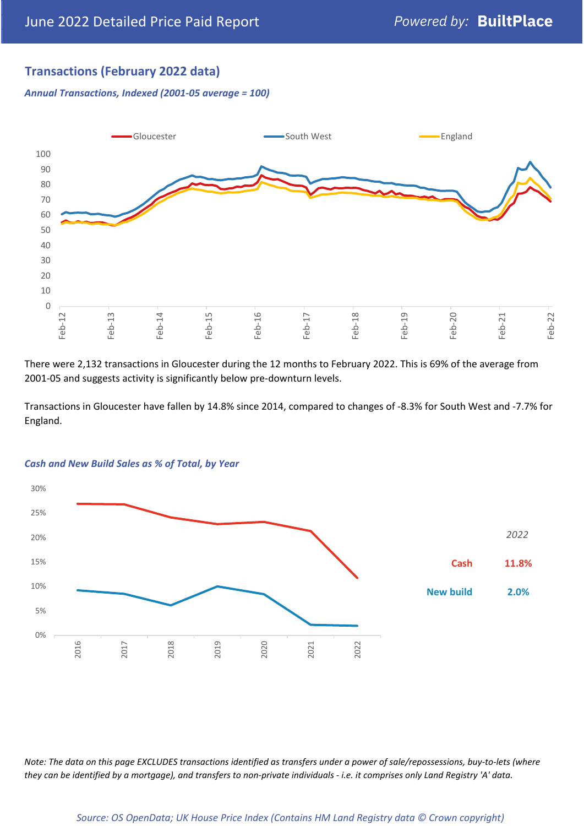## **Transactions (February 2022 data)**

*Annual Transactions, Indexed (2001-05 average = 100)*



There were 2,132 transactions in Gloucester during the 12 months to February 2022. This is 69% of the average from 2001-05 and suggests activity is significantly below pre-downturn levels.

Transactions in Gloucester have fallen by 14.8% since 2014, compared to changes of -8.3% for South West and -7.7% for England.



### *Cash and New Build Sales as % of Total, by Year*

*Note: The data on this page EXCLUDES transactions identified as transfers under a power of sale/repossessions, buy-to-lets (where they can be identified by a mortgage), and transfers to non-private individuals - i.e. it comprises only Land Registry 'A' data.*